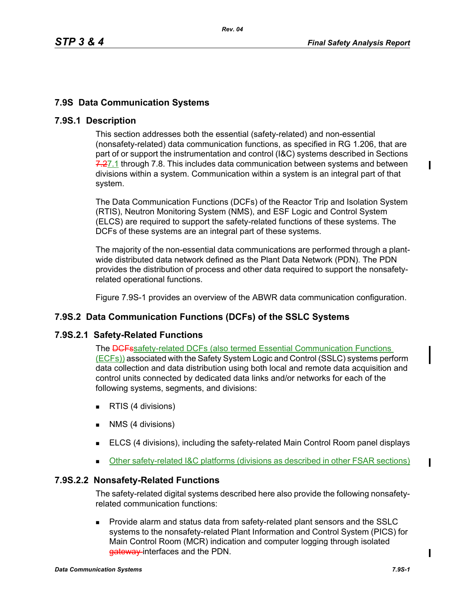# **7.9S Data Communication Systems**

## **7.9S.1 Description**

This section addresses both the essential (safety-related) and non-essential (nonsafety-related) data communication functions, as specified in RG 1.206, that are part of or support the instrumentation and control (I&C) systems described in Sections 7.27.1 through 7.8. This includes data communication between systems and between divisions within a system. Communication within a system is an integral part of that system.

The Data Communication Functions (DCFs) of the Reactor Trip and Isolation System (RTIS), Neutron Monitoring System (NMS), and ESF Logic and Control System (ELCS) are required to support the safety-related functions of these systems. The DCFs of these systems are an integral part of these systems.

The majority of the non-essential data communications are performed through a plantwide distributed data network defined as the Plant Data Network (PDN). The PDN provides the distribution of process and other data required to support the nonsafetyrelated operational functions.

Figure 7.9S-1 provides an overview of the ABWR data communication configuration.

## **7.9S.2 Data Communication Functions (DCFs) of the SSLC Systems**

#### **7.9S.2.1 Safety-Related Functions**

The **DCFs**safety-related DCFs (also termed Essential Communication Functions (ECFs)) associated with the Safety System Logic and Control (SSLC) systems perform data collection and data distribution using both local and remote data acquisition and control units connected by dedicated data links and/or networks for each of the following systems, segments, and divisions:

- **RTIS (4 divisions)**
- **NMS** (4 divisions)
- **ELCS (4 divisions), including the safety-related Main Control Room panel displays**
- Other safety-related I&C platforms (divisions as described in other FSAR sections)

## **7.9S.2.2 Nonsafety-Related Functions**

The safety-related digital systems described here also provide the following nonsafetyrelated communication functions:

**Provide alarm and status data from safety-related plant sensors and the SSLC** systems to the nonsafety-related Plant Information and Control System (PICS) for Main Control Room (MCR) indication and computer logging through isolated gateway interfaces and the PDN.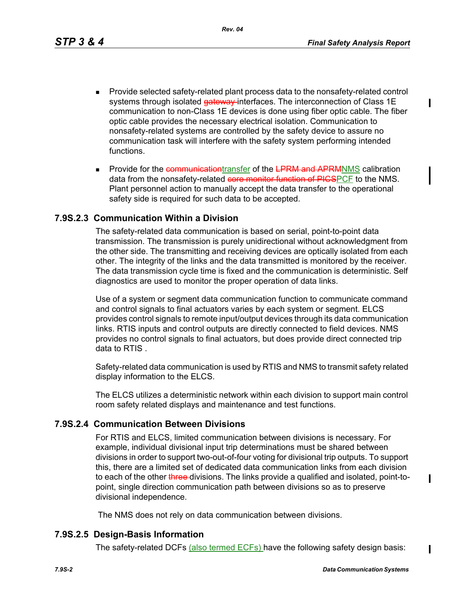*Rev. 04*

- **Provide selected safety-related plant process data to the nonsafety-related control** systems through isolated gateway interfaces. The interconnection of Class 1E communication to non-Class 1E devices is done using fiber optic cable. The fiber optic cable provides the necessary electrical isolation. Communication to nonsafety-related systems are controlled by the safety device to assure no communication task will interfere with the safety system performing intended functions.
- Provide for the communicationtransfer of the LPRM and APRMNMS calibration data from the nonsafety-related core monitor function of PICSPCF to the NMS. Plant personnel action to manually accept the data transfer to the operational safety side is required for such data to be accepted.

#### **7.9S.2.3 Communication Within a Division**

The safety-related data communication is based on serial, point-to-point data transmission. The transmission is purely unidirectional without acknowledgment from the other side. The transmitting and receiving devices are optically isolated from each other. The integrity of the links and the data transmitted is monitored by the receiver. The data transmission cycle time is fixed and the communication is deterministic. Self diagnostics are used to monitor the proper operation of data links.

Use of a system or segment data communication function to communicate command and control signals to final actuators varies by each system or segment. ELCS provides control signals to remote input/output devices through its data communication links. RTIS inputs and control outputs are directly connected to field devices. NMS provides no control signals to final actuators, but does provide direct connected trip data to RTIS .

Safety-related data communication is used by RTIS and NMS to transmit safety related display information to the ELCS.

The ELCS utilizes a deterministic network within each division to support main control room safety related displays and maintenance and test functions.

#### **7.9S.2.4 Communication Between Divisions**

For RTIS and ELCS, limited communication between divisions is necessary. For example, individual divisional input trip determinations must be shared between divisions in order to support two-out-of-four voting for divisional trip outputs. To support this, there are a limited set of dedicated data communication links from each division to each of the other three-divisions. The links provide a qualified and isolated, point-topoint, single direction communication path between divisions so as to preserve divisional independence.

The NMS does not rely on data communication between divisions.

#### **7.9S.2.5 Design-Basis Information**

The safety-related DCFs (also termed ECFs) have the following safety design basis:

I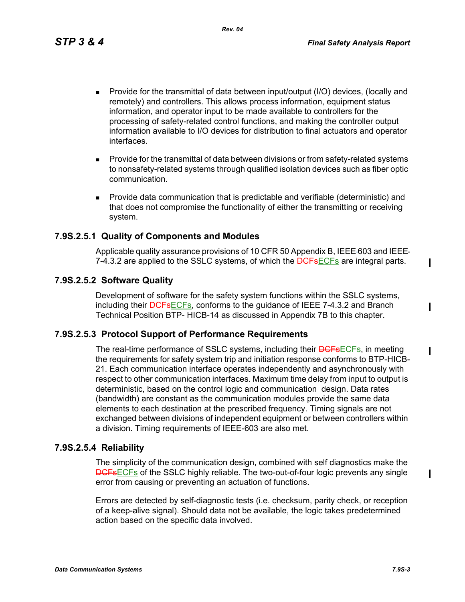*Rev. 04*

- Provide for the transmittal of data between input/output (I/O) devices, (locally and remotely) and controllers. This allows process information, equipment status information, and operator input to be made available to controllers for the processing of safety-related control functions, and making the controller output information available to I/O devices for distribution to final actuators and operator interfaces.
- **Provide for the transmittal of data between divisions or from safety-related systems** to nonsafety-related systems through qualified isolation devices such as fiber optic communication.
- Provide data communication that is predictable and verifiable (deterministic) and that does not compromise the functionality of either the transmitting or receiving system.

## **7.9S.2.5.1 Quality of Components and Modules**

Applicable quality assurance provisions of 10 CFR 50 Appendix B, IEEE 603 and IEEE 7-4.3.2 are applied to the SSLC systems, of which the **DGFs**ECFs are integral parts.

# **7.9S.2.5.2 Software Quality**

Development of software for the safety system functions within the SSLC systems, including their **DCFs**ECFs, conforms to the guidance of IEEE-7-4.3.2 and Branch Technical Position BTP- HICB-14 as discussed in Appendix 7B to this chapter.

## **7.9S.2.5.3 Protocol Support of Performance Requirements**

The real-time performance of SSLC systems, including their **DCFsECFs**, in meeting the requirements for safety system trip and initiation response conforms to BTP-HICB-21. Each communication interface operates independently and asynchronously with respect to other communication interfaces. Maximum time delay from input to output is deterministic, based on the control logic and communication design. Data rates (bandwidth) are constant as the communication modules provide the same data elements to each destination at the prescribed frequency. Timing signals are not exchanged between divisions of independent equipment or between controllers within a division. Timing requirements of IEEE-603 are also met.

## **7.9S.2.5.4 Reliability**

The simplicity of the communication design, combined with self diagnostics make the **DCFsECFs** of the SSLC highly reliable. The two-out-of-four logic prevents any single error from causing or preventing an actuation of functions.

Errors are detected by self-diagnostic tests (i.e. checksum, parity check, or reception of a keep-alive signal). Should data not be available, the logic takes predetermined action based on the specific data involved.

ı

 $\blacksquare$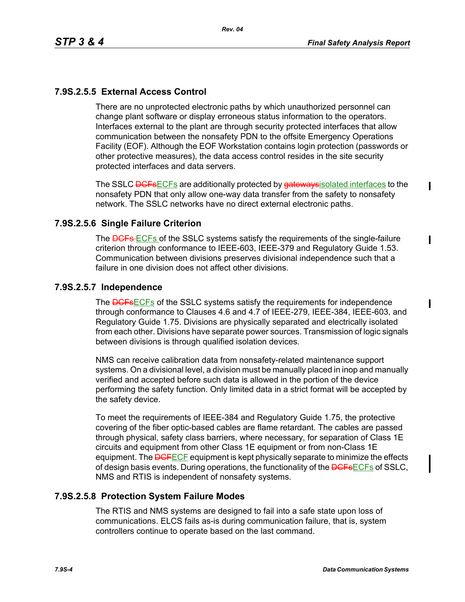ı

ı

# **7.9S.2.5.5 External Access Control**

There are no unprotected electronic paths by which unauthorized personnel can change plant software or display erroneous status information to the operators. Interfaces external to the plant are through security protected interfaces that allow communication between the nonsafety PDN to the offsite Emergency Operations Facility (EOF). Although the EOF Workstation contains login protection (passwords or other protective measures), the data access control resides in the site security protected interfaces and data servers.

The SSLC <del>DCFsECFs</del> are additionally protected by gateways isolated interfaces to the nonsafety PDN that only allow one-way data transfer from the safety to nonsafety network. The SSLC networks have no direct external electronic paths.

### **7.9S.2.5.6 Single Failure Criterion**

The **DGFs-**ECFs of the SSLC systems satisfy the requirements of the single-failure criterion through conformance to IEEE-603, IEEE-379 and Regulatory Guide 1.53. Communication between divisions preserves divisional independence such that a failure in one division does not affect other divisions.

#### **7.9S.2.5.7 Independence**

The **DGFsECFs** of the SSLC systems satisfy the requirements for independence through conformance to Clauses 4.6 and 4.7 of IEEE-279, IEEE-384, IEEE-603, and Regulatory Guide 1.75. Divisions are physically separated and electrically isolated from each other. Divisions have separate power sources. Transmission of logic signals between divisions is through qualified isolation devices.

NMS can receive calibration data from nonsafety-related maintenance support systems. On a divisional level, a division must be manually placed in inop and manually verified and accepted before such data is allowed in the portion of the device performing the safety function. Only limited data in a strict format will be accepted by the safety device.

To meet the requirements of IEEE-384 and Regulatory Guide 1.75, the protective covering of the fiber optic-based cables are flame retardant. The cables are passed through physical, safety class barriers, where necessary, for separation of Class 1E circuits and equipment from other Class 1E equipment or from non-Class 1E equipment. The **DCF**ECF equipment is kept physically separate to minimize the effects of design basis events. During operations, the functionality of the <del>DCFs</del>ECFs of SSLC, NMS and RTIS is independent of nonsafety systems.

#### **7.9S.2.5.8 Protection System Failure Modes**

The RTIS and NMS systems are designed to fail into a safe state upon loss of communications. ELCS fails as-is during communication failure, that is, system controllers continue to operate based on the last command.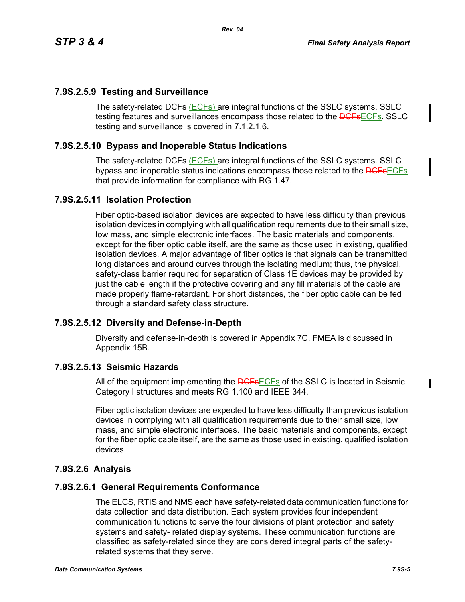# **7.9S.2.5.9 Testing and Surveillance**

The safety-related DCFs (ECFs) are integral functions of the SSLC systems. SSLC testing features and surveillances encompass those related to the **DCFsECFs**. SSLC testing and surveillance is covered in 7.1.2.1.6.

## **7.9S.2.5.10 Bypass and Inoperable Status Indications**

The safety-related DCFs (ECFs) are integral functions of the SSLC systems. SSLC bypass and inoperable status indications encompass those related to the **DCFs**ECFs that provide information for compliance with RG 1.47.

# **7.9S.2.5.11 Isolation Protection**

Fiber optic-based isolation devices are expected to have less difficulty than previous isolation devices in complying with all qualification requirements due to their small size, low mass, and simple electronic interfaces. The basic materials and components, except for the fiber optic cable itself, are the same as those used in existing, qualified isolation devices. A major advantage of fiber optics is that signals can be transmitted long distances and around curves through the isolating medium; thus, the physical, safety-class barrier required for separation of Class 1E devices may be provided by just the cable length if the protective covering and any fill materials of the cable are made properly flame-retardant. For short distances, the fiber optic cable can be fed through a standard safety class structure.

## **7.9S.2.5.12 Diversity and Defense-in-Depth**

Diversity and defense-in-depth is covered in Appendix 7C. FMEA is discussed in Appendix 15B.

## **7.9S.2.5.13 Seismic Hazards**

All of the equipment implementing the **DGFsECFs** of the SSLC is located in Seismic Category I structures and meets RG 1.100 and IEEE 344.

Fiber optic isolation devices are expected to have less difficulty than previous isolation devices in complying with all qualification requirements due to their small size, low mass, and simple electronic interfaces. The basic materials and components, except for the fiber optic cable itself, are the same as those used in existing, qualified isolation devices.

# **7.9S.2.6 Analysis**

## **7.9S.2.6.1 General Requirements Conformance**

The ELCS, RTIS and NMS each have safety-related data communication functions for data collection and data distribution. Each system provides four independent communication functions to serve the four divisions of plant protection and safety systems and safety- related display systems. These communication functions are classified as safety-related since they are considered integral parts of the safetyrelated systems that they serve.

 $\mathbf I$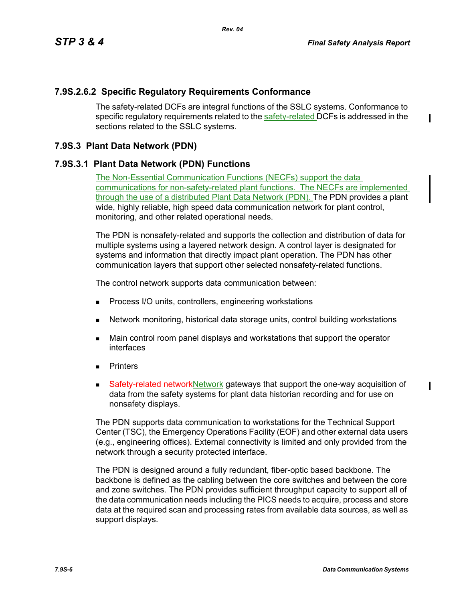## **7.9S.2.6.2 Specific Regulatory Requirements Conformance**

The safety-related DCFs are integral functions of the SSLC systems. Conformance to specific regulatory requirements related to the safety-related DCFs is addressed in the sections related to the SSLC systems.

## **7.9S.3 Plant Data Network (PDN)**

## **7.9S.3.1 Plant Data Network (PDN) Functions**

The Non-Essential Communication Functions (NECFs) support the data communications for non-safety-related plant functions. The NECFs are implemented through the use of a distributed Plant Data Network (PDN). The PDN provides a plant wide, highly reliable, high speed data communication network for plant control, monitoring, and other related operational needs.

The PDN is nonsafety-related and supports the collection and distribution of data for multiple systems using a layered network design. A control layer is designated for systems and information that directly impact plant operation. The PDN has other communication layers that support other selected nonsafety-related functions.

The control network supports data communication between:

- **Process I/O units, controllers, engineering workstations**
- Network monitoring, historical data storage units, control building workstations
- **Main control room panel displays and workstations that support the operator** interfaces
- **Printers**
- Safety-related network Network gateways that support the one-way acquisition of data from the safety systems for plant data historian recording and for use on nonsafety displays.

The PDN supports data communication to workstations for the Technical Support Center (TSC), the Emergency Operations Facility (EOF) and other external data users (e.g., engineering offices). External connectivity is limited and only provided from the network through a security protected interface.

The PDN is designed around a fully redundant, fiber-optic based backbone. The backbone is defined as the cabling between the core switches and between the core and zone switches. The PDN provides sufficient throughput capacity to support all of the data communication needs including the PICS needs to acquire, process and store data at the required scan and processing rates from available data sources, as well as support displays.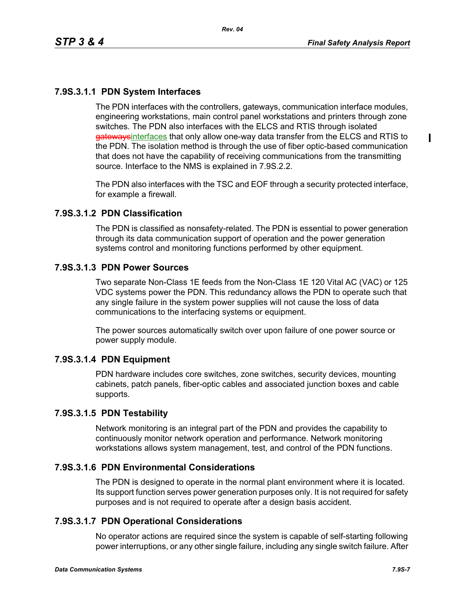$\blacksquare$ 

# **7.9S.3.1.1 PDN System Interfaces**

The PDN interfaces with the controllers, gateways, communication interface modules, engineering workstations, main control panel workstations and printers through zone switches. The PDN also interfaces with the ELCS and RTIS through isolated gatewaysinterfaces that only allow one-way data transfer from the ELCS and RTIS to the PDN. The isolation method is through the use of fiber optic-based communication that does not have the capability of receiving communications from the transmitting source. Interface to the NMS is explained in 7.9S.2.2.

The PDN also interfaces with the TSC and EOF through a security protected interface, for example a firewall.

### **7.9S.3.1.2 PDN Classification**

The PDN is classified as nonsafety-related. The PDN is essential to power generation through its data communication support of operation and the power generation systems control and monitoring functions performed by other equipment.

### **7.9S.3.1.3 PDN Power Sources**

Two separate Non-Class 1E feeds from the Non-Class 1E 120 Vital AC (VAC) or 125 VDC systems power the PDN. This redundancy allows the PDN to operate such that any single failure in the system power supplies will not cause the loss of data communications to the interfacing systems or equipment.

The power sources automatically switch over upon failure of one power source or power supply module.

#### **7.9S.3.1.4 PDN Equipment**

PDN hardware includes core switches, zone switches, security devices, mounting cabinets, patch panels, fiber-optic cables and associated junction boxes and cable supports.

#### **7.9S.3.1.5 PDN Testability**

Network monitoring is an integral part of the PDN and provides the capability to continuously monitor network operation and performance. Network monitoring workstations allows system management, test, and control of the PDN functions.

## **7.9S.3.1.6 PDN Environmental Considerations**

The PDN is designed to operate in the normal plant environment where it is located. Its support function serves power generation purposes only. It is not required for safety purposes and is not required to operate after a design basis accident.

## **7.9S.3.1.7 PDN Operational Considerations**

No operator actions are required since the system is capable of self-starting following power interruptions, or any other single failure, including any single switch failure. After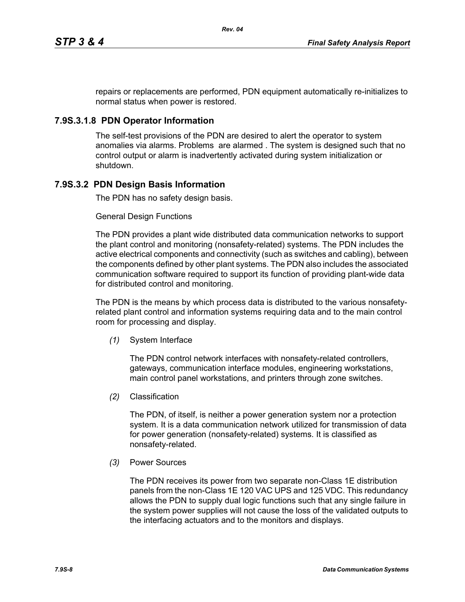repairs or replacements are performed, PDN equipment automatically re-initializes to normal status when power is restored.

## **7.9S.3.1.8 PDN Operator Information**

The self-test provisions of the PDN are desired to alert the operator to system anomalies via alarms. Problems are alarmed . The system is designed such that no control output or alarm is inadvertently activated during system initialization or shutdown.

# **7.9S.3.2 PDN Design Basis Information**

The PDN has no safety design basis.

#### General Design Functions

The PDN provides a plant wide distributed data communication networks to support the plant control and monitoring (nonsafety-related) systems. The PDN includes the active electrical components and connectivity (such as switches and cabling), between the components defined by other plant systems. The PDN also includes the associated communication software required to support its function of providing plant-wide data for distributed control and monitoring.

The PDN is the means by which process data is distributed to the various nonsafetyrelated plant control and information systems requiring data and to the main control room for processing and display.

*(1)* System Interface

The PDN control network interfaces with nonsafety-related controllers, gateways, communication interface modules, engineering workstations, main control panel workstations, and printers through zone switches.

*(2)* Classification

The PDN, of itself, is neither a power generation system nor a protection system. It is a data communication network utilized for transmission of data for power generation (nonsafety-related) systems. It is classified as nonsafety-related.

*(3)* Power Sources

The PDN receives its power from two separate non-Class 1E distribution panels from the non-Class 1E 120 VAC UPS and 125 VDC. This redundancy allows the PDN to supply dual logic functions such that any single failure in the system power supplies will not cause the loss of the validated outputs to the interfacing actuators and to the monitors and displays.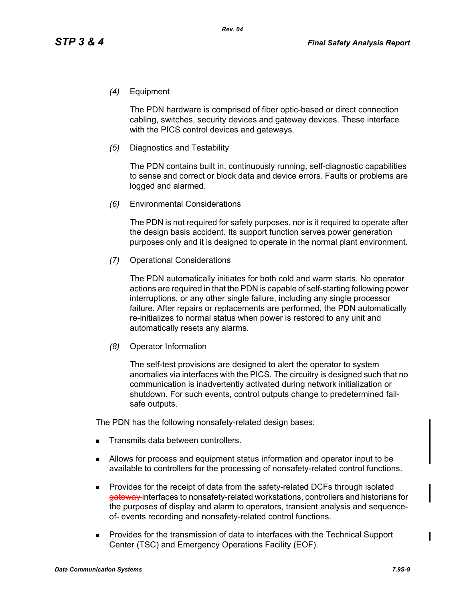*(4)* Equipment

The PDN hardware is comprised of fiber optic-based or direct connection cabling, switches, security devices and gateway devices. These interface with the PICS control devices and gateways.

*(5)* Diagnostics and Testability

The PDN contains built in, continuously running, self-diagnostic capabilities to sense and correct or block data and device errors. Faults or problems are logged and alarmed.

*(6)* Environmental Considerations

The PDN is not required for safety purposes, nor is it required to operate after the design basis accident. Its support function serves power generation purposes only and it is designed to operate in the normal plant environment.

*(7)* Operational Considerations

The PDN automatically initiates for both cold and warm starts. No operator actions are required in that the PDN is capable of self-starting following power interruptions, or any other single failure, including any single processor failure. After repairs or replacements are performed, the PDN automatically re-initializes to normal status when power is restored to any unit and automatically resets any alarms.

*(8)* Operator Information

The self-test provisions are designed to alert the operator to system anomalies via interfaces with the PICS. The circuitry is designed such that no communication is inadvertently activated during network initialization or shutdown. For such events, control outputs change to predetermined failsafe outputs.

The PDN has the following nonsafety-related design bases:

- Transmits data between controllers.
- Allows for process and equipment status information and operator input to be available to controllers for the processing of nonsafety-related control functions.
- **Provides for the receipt of data from the safety-related DCFs through isolated** gateway interfaces to nonsafety-related workstations, controllers and historians for the purposes of display and alarm to operators, transient analysis and sequenceof- events recording and nonsafety-related control functions.
- **Provides for the transmission of data to interfaces with the Technical Support** Center (TSC) and Emergency Operations Facility (EOF).

 $\blacksquare$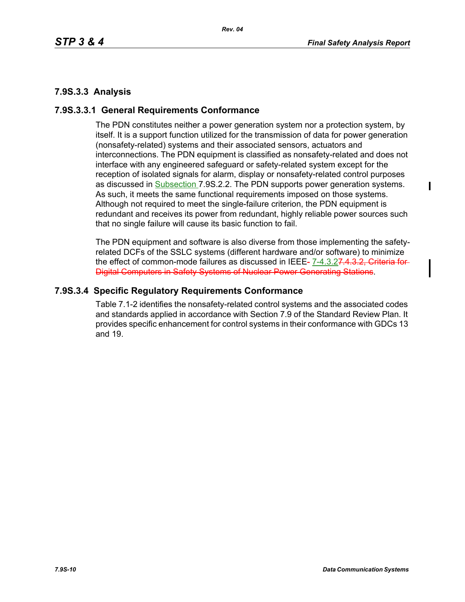# **7.9S.3.3 Analysis**

## **7.9S.3.3.1 General Requirements Conformance**

The PDN constitutes neither a power generation system nor a protection system, by itself. It is a support function utilized for the transmission of data for power generation (nonsafety-related) systems and their associated sensors, actuators and interconnections. The PDN equipment is classified as nonsafety-related and does not interface with any engineered safeguard or safety-related system except for the reception of isolated signals for alarm, display or nonsafety-related control purposes as discussed in **Subsection 7.9S.2.2.** The PDN supports power generation systems. As such, it meets the same functional requirements imposed on those systems. Although not required to meet the single-failure criterion, the PDN equipment is redundant and receives its power from redundant, highly reliable power sources such that no single failure will cause its basic function to fail.

The PDN equipment and software is also diverse from those implementing the safetyrelated DCFs of the SSLC systems (different hardware and/or software) to minimize the effect of common-mode failures as discussed in IEEE- 7-4.3.27.4.3.2, Criteria for-Digital Computers in Safety Systems of Nuclear Power Generating Stations.

# **7.9S.3.4 Specific Regulatory Requirements Conformance**

Table 7.1-2 identifies the nonsafety-related control systems and the associated codes and standards applied in accordance with Section 7.9 of the Standard Review Plan. It provides specific enhancement for control systems in their conformance with GDCs 13 and 19.